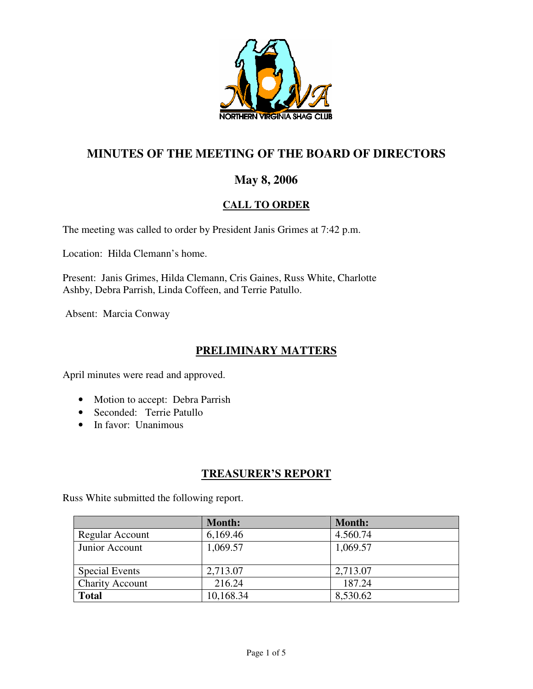

# **MINUTES OF THE MEETING OF THE BOARD OF DIRECTORS**

# **May 8, 2006**

# **CALL TO ORDER**

The meeting was called to order by President Janis Grimes at 7:42 p.m.

Location: Hilda Clemann's home.

Present: Janis Grimes, Hilda Clemann, Cris Gaines, Russ White, Charlotte Ashby, Debra Parrish, Linda Coffeen, and Terrie Patullo.

Absent: Marcia Conway

# **PRELIMINARY MATTERS**

April minutes were read and approved.

- Motion to accept: Debra Parrish
- Seconded: Terrie Patullo
- In favor: Unanimous

# **TREASURER'S REPORT**

Russ White submitted the following report.

|                        | <b>Month:</b> | <b>Month:</b> |
|------------------------|---------------|---------------|
| Regular Account        | 6,169.46      | 4.560.74      |
| Junior Account         | 1,069.57      | 1,069.57      |
|                        |               |               |
| <b>Special Events</b>  | 2,713.07      | 2,713.07      |
| <b>Charity Account</b> | 216.24        | 187.24        |
| <b>Total</b>           | 10,168.34     | 8,530.62      |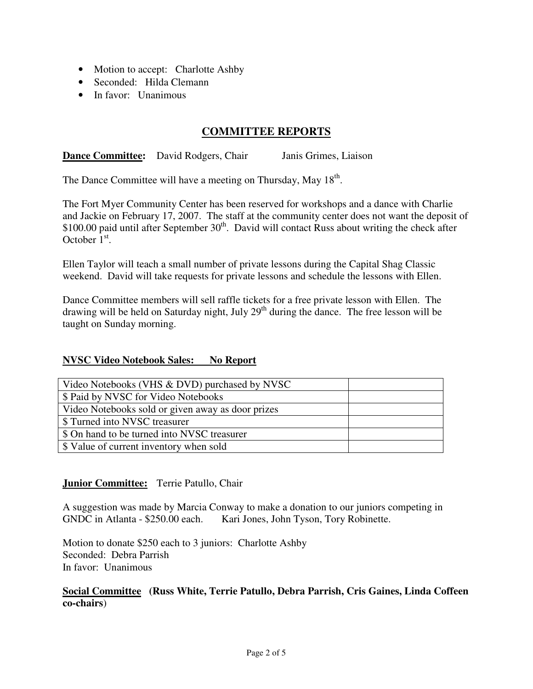- Motion to accept: Charlotte Ashby
- Seconded: Hilda Clemann
- In favor: Unanimous

## **COMMITTEE REPORTS**

**Dance Committee:** David Rodgers, Chair Janis Grimes, Liaison

The Dance Committee will have a meeting on Thursday, May 18<sup>th</sup>.

The Fort Myer Community Center has been reserved for workshops and a dance with Charlie and Jackie on February 17, 2007. The staff at the community center does not want the deposit of \$100.00 paid until after September  $30<sup>th</sup>$ . David will contact Russ about writing the check after October  $1<sup>st</sup>$ .

Ellen Taylor will teach a small number of private lessons during the Capital Shag Classic weekend. David will take requests for private lessons and schedule the lessons with Ellen.

Dance Committee members will sell raffle tickets for a free private lesson with Ellen. The drawing will be held on Saturday night, July  $29<sup>th</sup>$  during the dance. The free lesson will be taught on Sunday morning.

#### **NVSC Video Notebook Sales: No Report**

| Video Notebooks (VHS & DVD) purchased by NVSC     |  |
|---------------------------------------------------|--|
| \$ Paid by NVSC for Video Notebooks               |  |
| Video Notebooks sold or given away as door prizes |  |
| \$ Turned into NVSC treasurer                     |  |
| \$ On hand to be turned into NVSC treasurer       |  |
| \$ Value of current inventory when sold           |  |

## **Junior Committee:** Terrie Patullo, Chair

A suggestion was made by Marcia Conway to make a donation to our juniors competing in GNDC in Atlanta - \$250.00 each. Kari Jones, John Tyson, Tory Robinette.

Motion to donate \$250 each to 3 juniors: Charlotte Ashby Seconded: Debra Parrish In favor: Unanimous

#### **Social Committee (Russ White, Terrie Patullo, Debra Parrish, Cris Gaines, Linda Coffeen co-chairs**)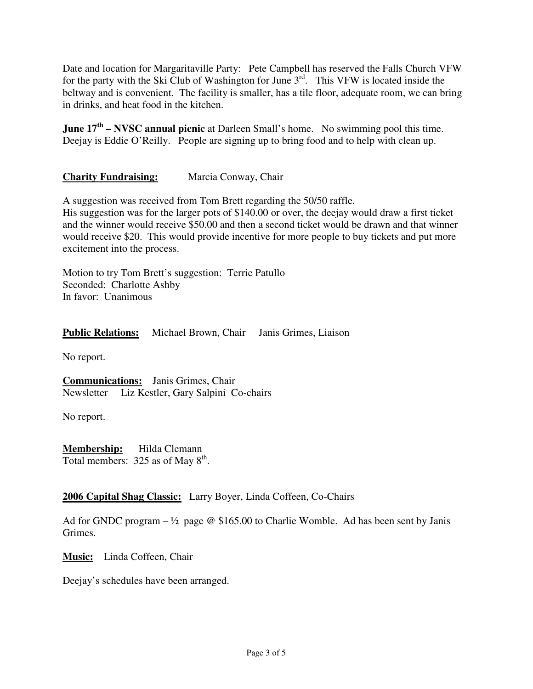Date and location for Margaritaville Party: Pete Campbell has reserved the Falls Church VFW for the party with the Ski Club of Washington for June  $3^{rd}$ . This VFW is located inside the beltway and is convenient. The facility is smaller, has a tile floor, adequate room, we can bring in drinks, and heat food in the kitchen.

**June 17<sup>th</sup> – NVSC annual picnic** at Darleen Small's home. No swimming pool this time. Deejay is Eddie O'Reilly. People are signing up to bring food and to help with clean up.

## **Charity Fundraising:** Marcia Conway, Chair

A suggestion was received from Tom Brett regarding the 50/50 raffle.

His suggestion was for the larger pots of \$140.00 or over, the deejay would draw a first ticket and the winner would receive \$50.00 and then a second ticket would be drawn and that winner would receive \$20. This would provide incentive for more people to buy tickets and put more excitement into the process.

Motion to try Tom Brett's suggestion: Terrie Patullo Seconded: Charlotte Ashby In favor: Unanimous

**Public Relations:** Michael Brown, Chair Janis Grimes, Liaison

No report.

**Communications:** Janis Grimes, Chair Newsletter Liz Kestler, Gary Salpini Co-chairs

No report.

**Membership:** Hilda Clemann Total members:  $325$  as of May  $8<sup>th</sup>$ .

## **2006 Capital Shag Classic:** Larry Boyer, Linda Coffeen, Co-Chairs

Ad for GNDC program  $- \frac{1}{2}$  page @ \$165.00 to Charlie Womble. Ad has been sent by Janis Grimes.

**Music:** Linda Coffeen, Chair

Deejay's schedules have been arranged.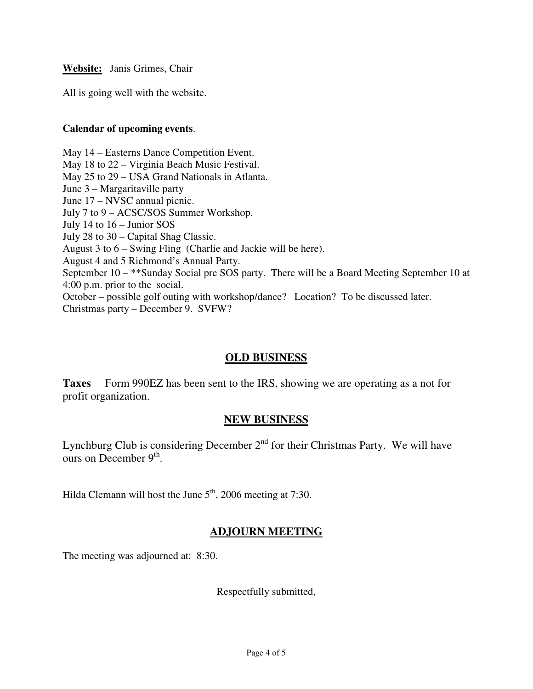All is going well with the websi**t**e.

#### **Calendar of upcoming events**.

May 14 – Easterns Dance Competition Event. May 18 to 22 – Virginia Beach Music Festival. May 25 to 29 – USA Grand Nationals in Atlanta. June 3 – Margaritaville party June 17 – NVSC annual picnic. July 7 to 9 – ACSC/SOS Summer Workshop. July 14 to 16 – Junior SOS July 28 to 30 – Capital Shag Classic. August 3 to 6 – Swing Fling (Charlie and Jackie will be here). August 4 and 5 Richmond's Annual Party. September 10 – \*\*Sunday Social pre SOS party. There will be a Board Meeting September 10 at 4:00 p.m. prior to the social. October – possible golf outing with workshop/dance? Location? To be discussed later. Christmas party – December 9. SVFW?

## **OLD BUSINESS**

**Taxes** Form 990EZ has been sent to the IRS, showing we are operating as a not for profit organization.

## **NEW BUSINESS**

Lynchburg Club is considering December  $2<sup>nd</sup>$  for their Christmas Party. We will have ours on December  $9<sup>th</sup>$ .

Hilda Clemann will host the June  $5<sup>th</sup>$ , 2006 meeting at 7:30.

# **ADJOURN MEETING**

The meeting was adjourned at: 8:30.

Respectfully submitted,